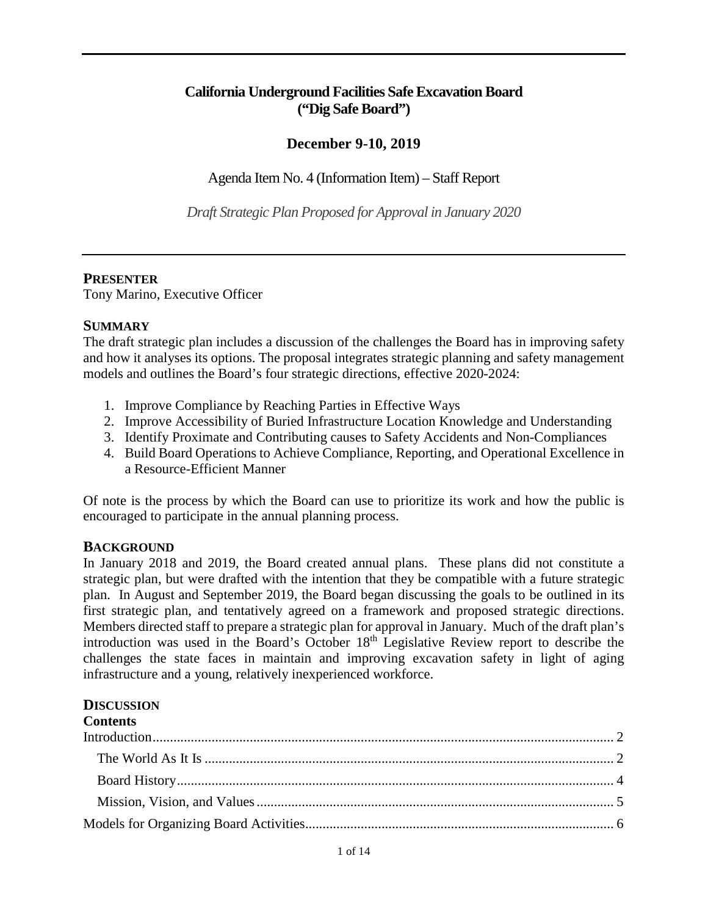## **California Underground Facilities Safe Excavation Board ("Dig Safe Board")**

## **December 9-10, 2019**

Agenda Item No. 4 (Information Item) – Staff Report

*Draft Strategic Plan Proposed for Approval in January 2020* 

### **PRESENTER**

Tony Marino, Executive Officer

### **SUMMARY**

 and how it analyses its options. The proposal integrates strategic planning and safety management models and outlines the Board's four strategic directions, effective 2020-2024: The draft strategic plan includes a discussion of the challenges the Board has in improving safety

- 1. Improve Compliance by Reaching Parties in Effective Ways
- 2. Improve Accessibility of Buried Infrastructure Location Knowledge and Understanding
- 3. Identify Proximate and Contributing causes to Safety Accidents and Non-Compliances
- a Resource-Efficient Manner 4. Build Board Operations to Achieve Compliance, Reporting, and Operational Excellence in

a Resource-Efficient Manner<br>Of note is the process by which the Board can use to prioritize its work and how the public is encouraged to participate in the annual planning process.

## **BACKGROUND**

 Members directed staff to prepare a strategic plan for approval in January. Much of the draft plan's introduction was used in the Board's October 18<sup>th</sup> Legislative Review report to describe the challenges the state faces in maintain and improving excavation safety in light of aging infrastructure and a young, relatively inexperienced workforce. In January 2018 and 2019, the Board created annual plans. These plans did not constitute a strategic plan, but were drafted with the intention that they be compatible with a future strategic plan. In August and September 2019, the Board began discussing the goals to be outlined in its first strategic plan, and tentatively agreed on a framework and proposed strategic directions.

#### **DISCUSSION**

# **Contents**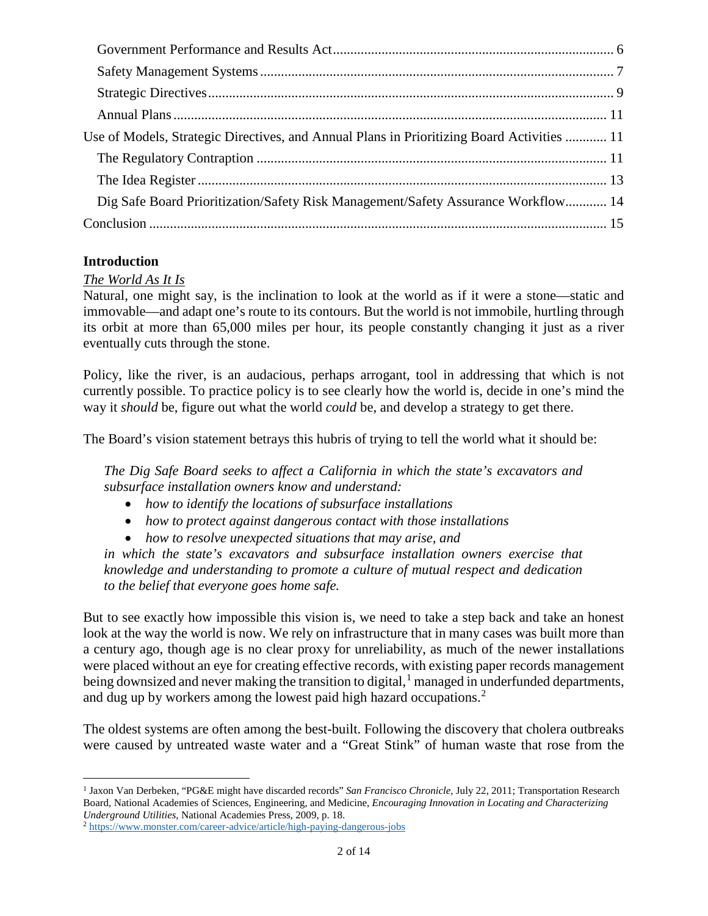| Use of Models, Strategic Directives, and Annual Plans in Prioritizing Board Activities  11 |
|--------------------------------------------------------------------------------------------|
|                                                                                            |
|                                                                                            |
| Dig Safe Board Prioritization/Safety Risk Management/Safety Assurance Workflow 14          |
|                                                                                            |

## <span id="page-1-0"></span>**Introduction**

## <span id="page-1-1"></span>*The World As It Is*

 its orbit at more than 65,000 miles per hour, its people constantly changing it just as a river Natural, one might say, is the inclination to look at the world as if it were a stone—static and immovable—and adapt one's route to its contours. But the world is not immobile, hurtling through eventually cuts through the stone.

 currently possible. To practice policy is to see clearly how the world is, decide in one's mind the way it *should* be, figure out what the world *could* be, and develop a strategy to get there. Policy, like the river, is an audacious, perhaps arrogant, tool in addressing that which is not

The Board's vision statement betrays this hubris of trying to tell the world what it should be:

*The Dig Safe Board seeks to affect a California in which the state's excavators and subsurface installation owners know and understand:* 

- *how to identify the locations of subsurface installations*
- *how to protect against dangerous contact with those installations*
- *how to resolve unexpected situations that may arise, and*

*in which the state's excavators and subsurface installation owners exercise that knowledge and understanding to promote a culture of mutual respect and dedication to the belief that everyone goes home safe.* 

But to see exactly how impossible this vision is, we need to take a step back and take an honest look at the way the world is now. We rely on infrastructure that in many cases was built more than a century ago, though age is no clear proxy for unreliability, as much of the newer installations were placed without an eye for creating effective records, with existing paper records management being downsized and never making the transition to digital, $1$  managed in underfunded departments, and dug up by workers among the lowest paid high hazard occupations.<sup>[2](#page-1-3)</sup>

The oldest systems are often among the best-built. Following the discovery that cholera outbreaks were caused by untreated waste water and a "Great Stink" of human waste that rose from the

<span id="page-1-2"></span> $\overline{a}$ 1 Jaxon Van Derbeken, "PG&E might have discarded records" *San Francisco Chronicle*, July 22, 2011; Transportation Research Board, National Academies of Sciences, Engineering, and Medicine, *Encouraging Innovation in Locating and Characterizing* 

<span id="page-1-3"></span><sup>&</sup>lt;sup>2</sup> https://www.monster.com/career-advice/article/high-paying-dangerous-jobs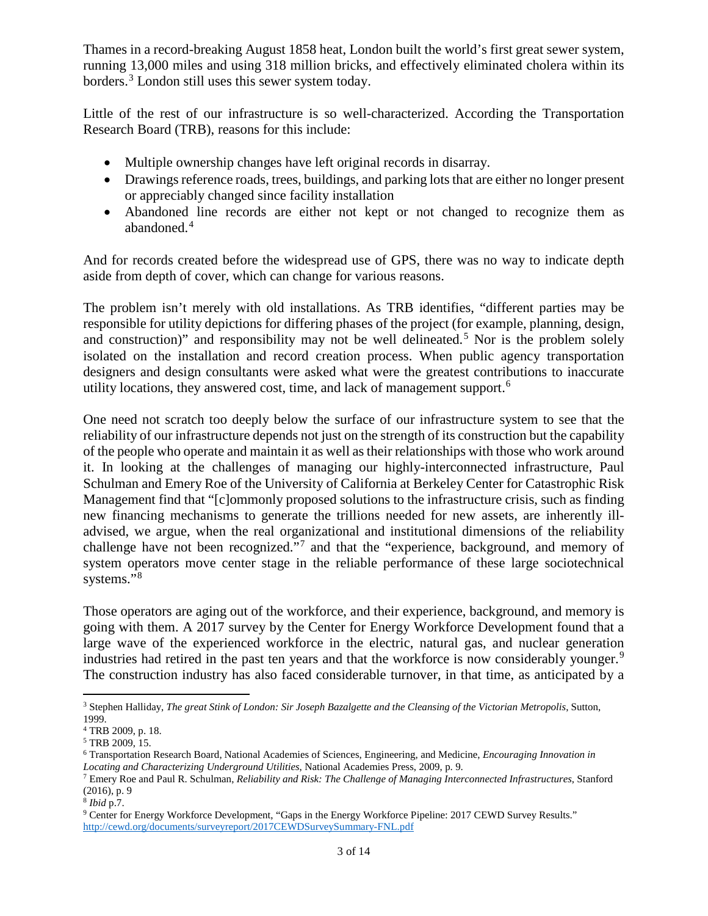Thames in a record-breaking August 1858 heat, London built the world's first great sewer system, running 13,000 miles and using 318 million bricks, and effectively eliminated cholera within its borders.[3](#page-2-0) London still uses this sewer system today.

Little of the rest of our infrastructure is so well-characterized. According the Transportation Research Board (TRB), reasons for this include:

- Multiple ownership changes have left original records in disarray.
- Drawings reference roads, trees, buildings, and parking lots that are either no longer present or appreciably changed since facility installation
- Abandoned line records are either not kept or not changed to recognize them as abandoned.<sup>[4](#page-2-1)</sup>

And for records created before the widespread use of GPS, there was no way to indicate depth aside from depth of cover, which can change for various reasons.

The problem isn't merely with old installations. As TRB identifies, "different parties may be responsible for utility depictions for differing phases of the project (for example, planning, design, and construction)" and responsibility may not be well delineated.<sup>[5](#page-2-2)</sup> Nor is the problem solely isolated on the installation and record creation process. When public agency transportation designers and design consultants were asked what were the greatest contributions to inaccurate utility locations, they answered cost, time, and lack of management support.<sup>6</sup>

 advised, we argue, when the real organizational and institutional dimensions of the reliability One need not scratch too deeply below the surface of our infrastructure system to see that the reliability of our infrastructure depends not just on the strength of its construction but the capability of the people who operate and maintain it as well as their relationships with those who work around it. In looking at the challenges of managing our highly-interconnected infrastructure, Paul Schulman and Emery Roe of the University of California at Berkeley Center for Catastrophic Risk Management find that "[c]ommonly proposed solutions to the infrastructure crisis, such as finding new financing mechanisms to generate the trillions needed for new assets, are inherently illchallenge have not been recognized."[7](#page-2-4) and that the "experience, background, and memory of system operators move center stage in the reliable performance of these large sociotechnical systems."<sup>8</sup>

 large wave of the experienced workforce in the electric, natural gas, and nuclear generation Those operators are aging out of the workforce, and their experience, background, and memory is going with them. A 2017 survey by the Center for Energy Workforce Development found that a industries had retired in the past ten years and that the workforce is now considerably younger.<sup>9</sup> The construction industry has also faced considerable turnover, in that time, as anticipated by a

 $\overline{a}$ 

<span id="page-2-0"></span><sup>3</sup> Stephen Halliday, *The great Stink of London: Sir Joseph Bazalgette and the Cleansing of the Victorian Metropolis*, Sutton, 1999.

<span id="page-2-1"></span><sup>4</sup> TRB 2009, p. 18.

<span id="page-2-2"></span><sup>5</sup> TRB 2009, 15.

<span id="page-2-3"></span><sup>6</sup> Transportation Research Board, National Academies of Sciences, Engineering, and Medicine, *Encouraging Innovation in* 

<span id="page-2-4"></span>*Locating and Characterizing Underground Utilities*, National Academies Press, 2009, p. 9.<br><sup>7</sup> Emery Roe and Paul R. Schulman, *Reliability and Risk: The Challenge of Managing Interconnected Infrastructures*, Stanford (2016), p. 9

<span id="page-2-6"></span><span id="page-2-5"></span> $8$  *Ibid* p.7.

<sup>&</sup>lt;sup>9</sup> Center for Energy Workforce Development, "Gaps in the Energy Workforce Pipeline: 2017 CEWD Survey Results." <http://cewd.org/documents/surveyreport/2017CEWDSurveySummary-FNL.pdf>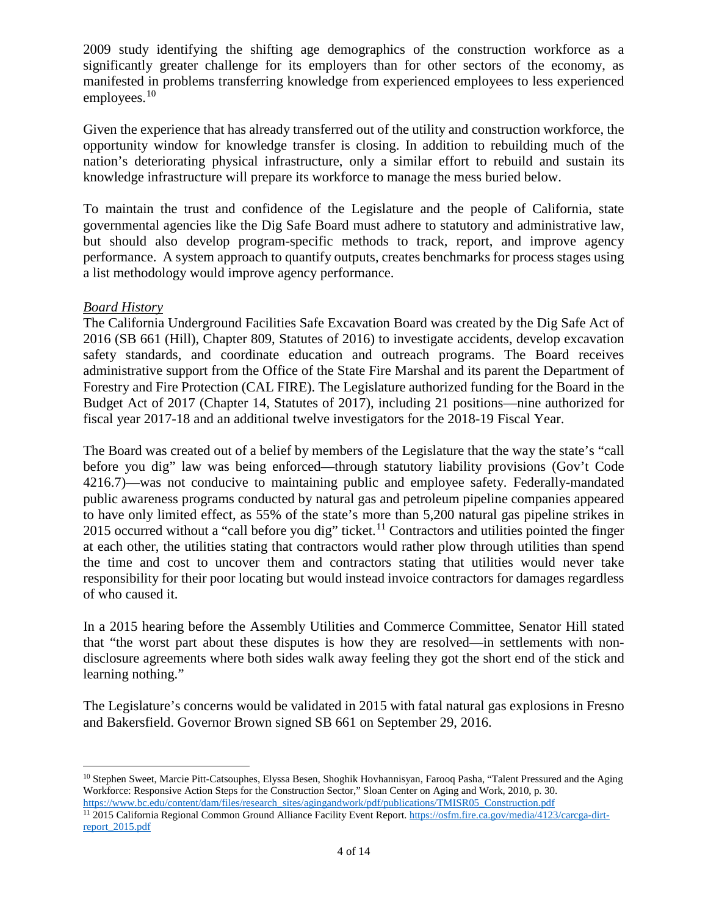employees.<sup>[10](#page-3-1)</sup> 2009 study identifying the shifting age demographics of the construction workforce as a significantly greater challenge for its employers than for other sectors of the economy, as manifested in problems transferring knowledge from experienced employees to less experienced

Given the experience that has already transferred out of the utility and construction workforce, the opportunity window for knowledge transfer is closing. In addition to rebuilding much of the nation's deteriorating physical infrastructure, only a similar effort to rebuild and sustain its knowledge infrastructure will prepare its workforce to manage the mess buried below.

 performance. A system approach to quantify outputs, creates benchmarks for process stages using To maintain the trust and confidence of the Legislature and the people of California, state governmental agencies like the Dig Safe Board must adhere to statutory and administrative law, but should also develop program-specific methods to track, report, and improve agency a list methodology would improve agency performance.

## <span id="page-3-0"></span>*Board History*

 Forestry and Fire Protection (CAL FIRE). The Legislature authorized funding for the Board in the The California Underground Facilities Safe Excavation Board was created by the Dig Safe Act of 2016 (SB 661 (Hill), Chapter 809, Statutes of 2016) to investigate accidents, develop excavation safety standards, and coordinate education and outreach programs. The Board receives administrative support from the Office of the State Fire Marshal and its parent the Department of Budget Act of 2017 (Chapter 14, Statutes of 2017), including 21 positions—nine authorized for fiscal year 2017-18 and an additional twelve investigators for the 2018-19 Fiscal Year.

 public awareness programs conducted by natural gas and petroleum pipeline companies appeared The Board was created out of a belief by members of the Legislature that the way the state's "call before you dig" law was being enforced—through statutory liability provisions (Gov't Code 4216.7)—was not conducive to maintaining public and employee safety. Federally-mandated to have only limited effect, as 55% of the state's more than 5,200 natural gas pipeline strikes in 2015 occurred without a "call before you dig" ticket.<sup>11</sup> Contractors and utilities pointed the finger at each other, the utilities stating that contractors would rather plow through utilities than spend the time and cost to uncover them and contractors stating that utilities would never take responsibility for their poor locating but would instead invoice contractors for damages regardless of who caused it.

 disclosure agreements where both sides walk away feeling they got the short end of the stick and In a 2015 hearing before the Assembly Utilities and Commerce Committee, Senator Hill stated that "the worst part about these disputes is how they are resolved—in settlements with nonlearning nothing."

The Legislature's concerns would be validated in 2015 with fatal natural gas explosions in Fresno and Bakersfield. Governor Brown signed SB 661 on September 29, 2016.

<span id="page-3-1"></span><sup>&</sup>lt;u>.</u> <sup>10</sup> Stephen Sweet, Marcie Pitt-Catsouphes, Elyssa Besen, Shoghik Hovhannisyan, Farooq Pasha, "Talent Pressured and the Aging Workforce: Responsive Action Steps for the Construction Sector," Sloan Center on Aging and Work, 2010, p. 30. https://www.bc.edu/content/dam/files/research\_sites/agingandwork/pdf/publications/TMISR05\_Construction.pdf

<span id="page-3-2"></span><sup>&</sup>lt;sup>11</sup> 2015 California Regional Common Ground Alliance Facility Event Report. [https://osfm.fire.ca.gov/media/4123/carcga-dirt](https://osfm.fire.ca.gov/media/4123/carcga-dirt-report_2015.pdf)[report\\_2015.pdf](https://osfm.fire.ca.gov/media/4123/carcga-dirt-report_2015.pdf)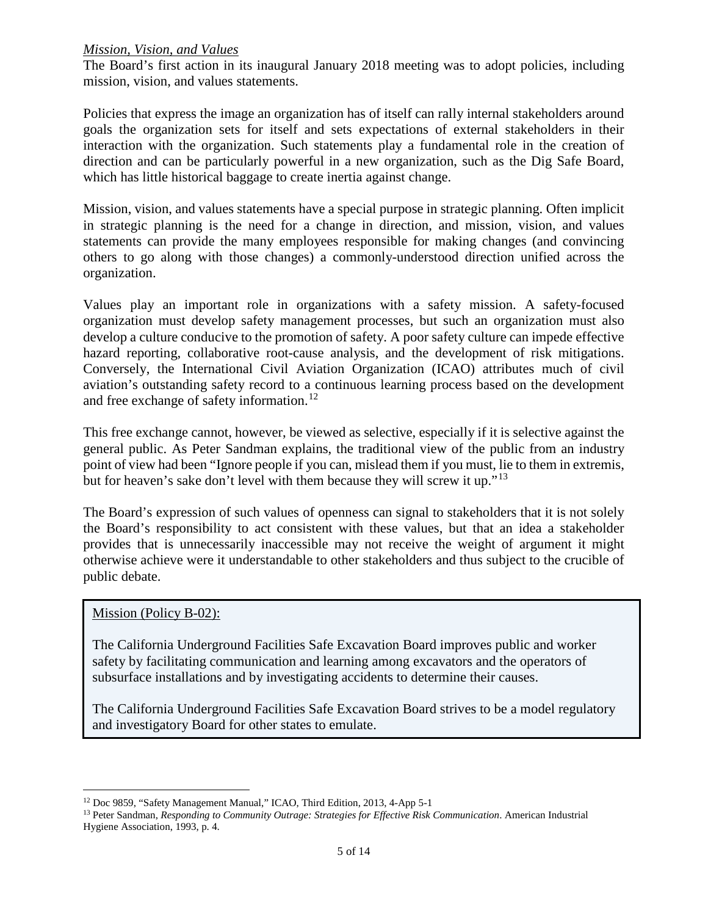### <span id="page-4-0"></span>*Mission, Vision, and Values*

The Board's first action in its inaugural January 2018 meeting was to adopt policies, including mission, vision, and values statements.

 goals the organization sets for itself and sets expectations of external stakeholders in their Policies that express the image an organization has of itself can rally internal stakeholders around interaction with the organization. Such statements play a fundamental role in the creation of direction and can be particularly powerful in a new organization, such as the Dig Safe Board, which has little historical baggage to create inertia against change.

Mission, vision, and values statements have a special purpose in strategic planning. Often implicit in strategic planning is the need for a change in direction, and mission, vision, and values statements can provide the many employees responsible for making changes (and convincing others to go along with those changes) a commonly-understood direction unified across the organization.

and free exchange of safety information.<sup>[12](#page-4-1)</sup> Values play an important role in organizations with a safety mission. A safety-focused organization must develop safety management processes, but such an organization must also develop a culture conducive to the promotion of safety. A poor safety culture can impede effective hazard reporting, collaborative root-cause analysis, and the development of risk mitigations. Conversely, the International Civil Aviation Organization (ICAO) attributes much of civil aviation's outstanding safety record to a continuous learning process based on the development

 This free exchange cannot, however, be viewed as selective, especially if it is selective against the point of view had been "Ignore people if you can, mislead them if you must, lie to them in extremis, general public. As Peter Sandman explains, the traditional view of the public from an industry but for heaven's sake don't level with them because they will screw it up."<sup>[13](#page-4-2)</sup>

 otherwise achieve were it understandable to other stakeholders and thus subject to the crucible of The Board's expression of such values of openness can signal to stakeholders that it is not solely the Board's responsibility to act consistent with these values, but that an idea a stakeholder provides that is unnecessarily inaccessible may not receive the weight of argument it might public debate.

#### Mission (Policy B-02):

 $\overline{a}$ 

 safety by facilitating communication and learning among excavators and the operators of The California Underground Facilities Safe Excavation Board improves public and worker subsurface installations and by investigating accidents to determine their causes.

The California Underground Facilities Safe Excavation Board strives to be a model regulatory and investigatory Board for other states to emulate.

<span id="page-4-2"></span><span id="page-4-1"></span><sup>&</sup>lt;sup>12</sup> Doc 9859, "Safety Management Manual," ICAO, Third Edition, 2013, 4-App 5-1<br><sup>13</sup> Peter Sandman, *Responding to Community Outrage: Strategies for Effective Risk Communication*. American Industrial Hygiene Association, 1993, p. 4.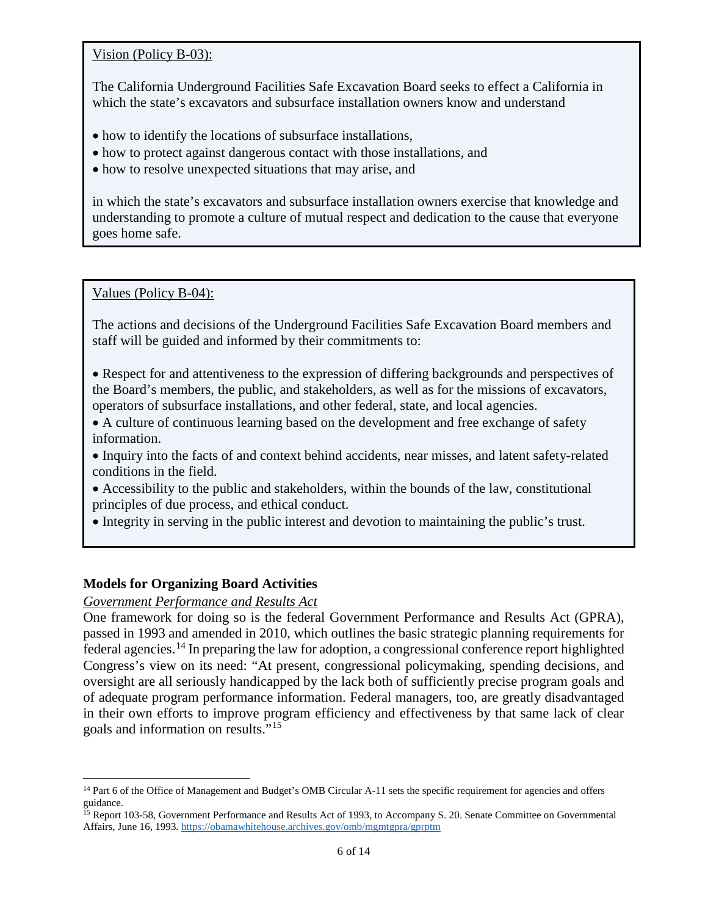Vision (Policy B-03):

The California Underground Facilities Safe Excavation Board seeks to effect a California in which the state's excavators and subsurface installation owners know and understand

- how to identify the locations of subsurface installations,
- how to protect against dangerous contact with those installations, and
- how to resolve unexpected situations that may arise, and

in which the state's excavators and subsurface installation owners exercise that knowledge and understanding to promote a culture of mutual respect and dedication to the cause that everyone goes home safe.

Values (Policy B-04):

The actions and decisions of the Underground Facilities Safe Excavation Board members and staff will be guided and informed by their commitments to:

• Respect for and attentiveness to the expression of differing backgrounds and perspectives of the Board's members, the public, and stakeholders, as well as for the missions of excavators, operators of subsurface installations, and other federal, state, and local agencies.

 • A culture of continuous learning based on the development and free exchange of safety information.

- Inquiry into the facts of and context behind accidents, near misses, and latent safety-related conditions in the field.
- Accessibility to the public and stakeholders, within the bounds of the law, constitutional principles of due process, and ethical conduct.
- Integrity in serving in the public interest and devotion to maintaining the public's trust.

#### <span id="page-5-0"></span>**Models for Organizing Board Activities**

#### <span id="page-5-1"></span>*Government Performance and Results Act*

federal agencies.<sup>14</sup> In preparing the law for adoption, a congressional conference report highlighted oversight are all seriously handicapped by the lack both of sufficiently precise program goals and goals and information on results."[15](#page-5-3)  One framework for doing so is the federal Government Performance and Results Act (GPRA), passed in 1993 and amended in 2010, which outlines the basic strategic planning requirements for Congress's view on its need: "At present, congressional policymaking, spending decisions, and of adequate program performance information. Federal managers, too, are greatly disadvantaged in their own efforts to improve program efficiency and effectiveness by that same lack of clear

<span id="page-5-2"></span> $\overline{a}$ <sup>14</sup> Part 6 of the Office of Management and Budget's OMB Circular A-11 sets the specific requirement for agencies and offers guidance.

<span id="page-5-3"></span>Affairs, June 16, 1993. https://obamawhitehouse.archives.gov/omb/mgmtgpra/gprptm <sup>15</sup> Report 103-58, Government Performance and Results Act of 1993, to Accompany S. 20. Senate Committee on Governmental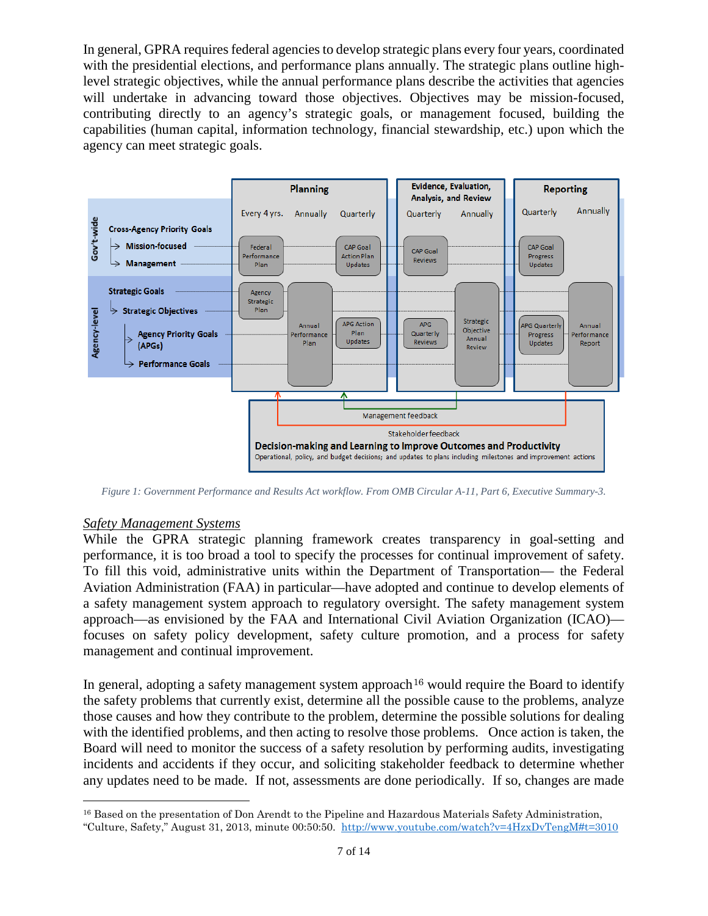In general, GPRA requires federal agencies to develop strategic plans every four years, coordinated capabilities (human capital, information technology, financial stewardship, etc.) upon which the with the presidential elections, and performance plans annually. The strategic plans outline highlevel strategic objectives, while the annual performance plans describe the activities that agencies will undertake in advancing toward those objectives. Objectives may be mission-focused, contributing directly to an agency's strategic goals, or management focused, building the agency can meet strategic goals.



*Figure 1: Government Performance and Results Act workflow. From OMB Circular A-11, Part 6, Executive Summary-3.* 

#### <span id="page-6-0"></span>*Safety Management Systems*

 $\overline{a}$ 

 performance, it is too broad a tool to specify the processes for continual improvement of safety. While the GPRA strategic planning framework creates transparency in goal-setting and To fill this void, administrative units within the Department of Transportation— the Federal Aviation Administration (FAA) in particular—have adopted and continue to develop elements of a safety management system approach to regulatory oversight. The safety management system approach—as envisioned by the FAA and International Civil Aviation Organization (ICAO) focuses on safety policy development, safety culture promotion, and a process for safety management and continual improvement.

In general, adopting a safety management system approach<sup>[16](#page-6-1)</sup> would require the Board to identify the safety problems that currently exist, determine all the possible cause to the problems, analyze with the identified problems, and then acting to resolve those problems. Once action is taken, the any updates need to be made. If not, assessments are done periodically. If so, changes are made those causes and how they contribute to the problem, determine the possible solutions for dealing Board will need to monitor the success of a safety resolution by performing audits, investigating incidents and accidents if they occur, and soliciting stakeholder feedback to determine whether

<span id="page-6-1"></span> "Culture, Safety," August 31, 2013, minute 00:50:50. <http://www.youtube.com/watch?v=4HzxDvTengM#t=3010> <sup>16</sup> Based on the presentation of Don Arendt to the Pipeline and Hazardous Materials Safety Administration,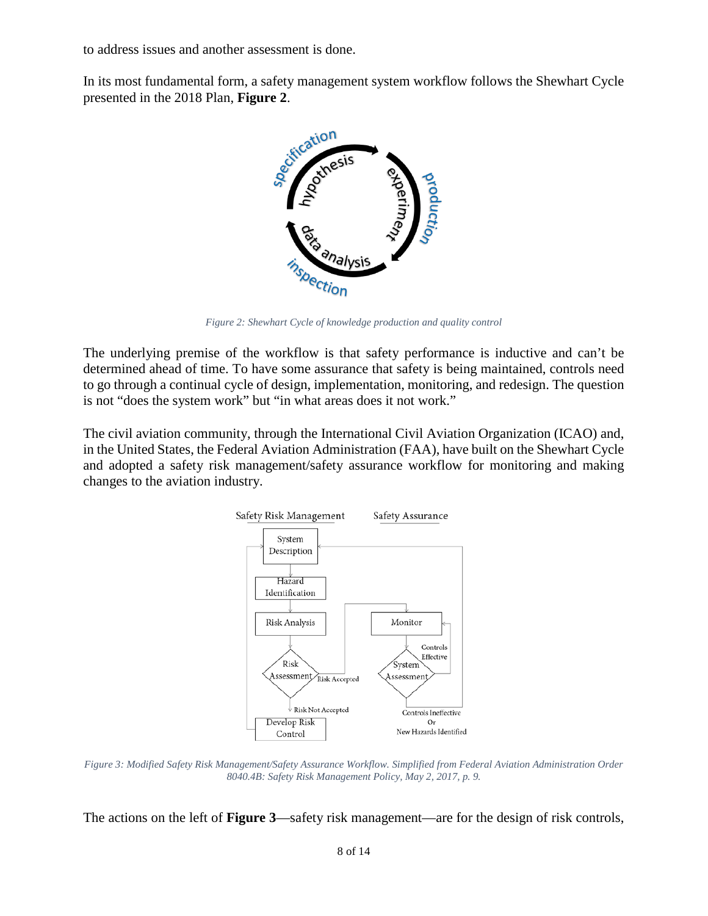to address issues and another assessment is done.

In its most fundamental form, a safety management system workflow follows the Shewhart Cycle presented in the 2018 Plan, **Figure 2**.



*Figure 2: Shewhart Cycle of knowledge production and quality control* 

 to go through a continual cycle of design, implementation, monitoring, and redesign. The question The underlying premise of the workflow is that safety performance is inductive and can't be determined ahead of time. To have some assurance that safety is being maintained, controls need is not "does the system work" but "in what areas does it not work."

The civil aviation community, through the International Civil Aviation Organization (ICAO) and, in the United States, the Federal Aviation Administration (FAA), have built on the Shewhart Cycle and adopted a safety risk management/safety assurance workflow for monitoring and making changes to the aviation industry.



 *8040.4B: Safety Risk Management Policy, May 2, 2017, p. 9. Figure 3: Modified Safety Risk Management/Safety Assurance Workflow. Simplified from Federal Aviation Administration Order* 

The actions on the left of **Figure 3**—safety risk management—are for the design of risk controls,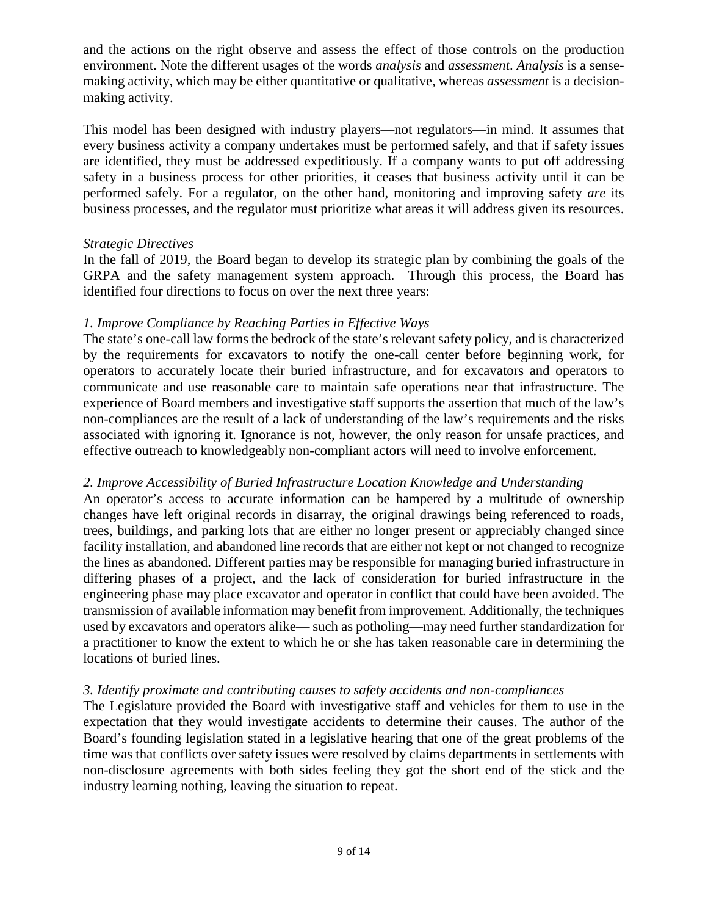environment. Note the different usages of the words *analysis* and *assessment*. *Analysis* is a senseand the actions on the right observe and assess the effect of those controls on the production making activity, which may be either quantitative or qualitative, whereas *assessment* is a decisionmaking activity.

 every business activity a company undertakes must be performed safely, and that if safety issues This model has been designed with industry players—not regulators—in mind. It assumes that are identified, they must be addressed expeditiously. If a company wants to put off addressing safety in a business process for other priorities, it ceases that business activity until it can be performed safely. For a regulator, on the other hand, monitoring and improving safety *are* its business processes, and the regulator must prioritize what areas it will address given its resources.

## <span id="page-8-0"></span>*Strategic Directives*

 In the fall of 2019, the Board began to develop its strategic plan by combining the goals of the GRPA and the safety management system approach. Through this process, the Board has identified four directions to focus on over the next three years:

## *1. Improve Compliance by Reaching Parties in Effective Ways*

 The state's one-call law forms the bedrock of the state's relevant safety policy, and is characterized non-compliances are the result of a lack of understanding of the law's requirements and the risks by the requirements for excavators to notify the one-call center before beginning work, for operators to accurately locate their buried infrastructure, and for excavators and operators to communicate and use reasonable care to maintain safe operations near that infrastructure. The experience of Board members and investigative staff supports the assertion that much of the law's associated with ignoring it. Ignorance is not, however, the only reason for unsafe practices, and effective outreach to knowledgeably non-compliant actors will need to involve enforcement.

## *2. Improve Accessibility of Buried Infrastructure Location Knowledge and Understanding*

 trees, buildings, and parking lots that are either no longer present or appreciably changed since An operator's access to accurate information can be hampered by a multitude of ownership changes have left original records in disarray, the original drawings being referenced to roads, facility installation, and abandoned line records that are either not kept or not changed to recognize the lines as abandoned. Different parties may be responsible for managing buried infrastructure in differing phases of a project, and the lack of consideration for buried infrastructure in the engineering phase may place excavator and operator in conflict that could have been avoided. The transmission of available information may benefit from improvement. Additionally, the techniques used by excavators and operators alike— such as potholing—may need further standardization for a practitioner to know the extent to which he or she has taken reasonable care in determining the locations of buried lines.

## *3. Identify proximate and contributing causes to safety accidents and non-compliances*

 expectation that they would investigate accidents to determine their causes. The author of the The Legislature provided the Board with investigative staff and vehicles for them to use in the Board's founding legislation stated in a legislative hearing that one of the great problems of the time was that conflicts over safety issues were resolved by claims departments in settlements with non-disclosure agreements with both sides feeling they got the short end of the stick and the industry learning nothing, leaving the situation to repeat.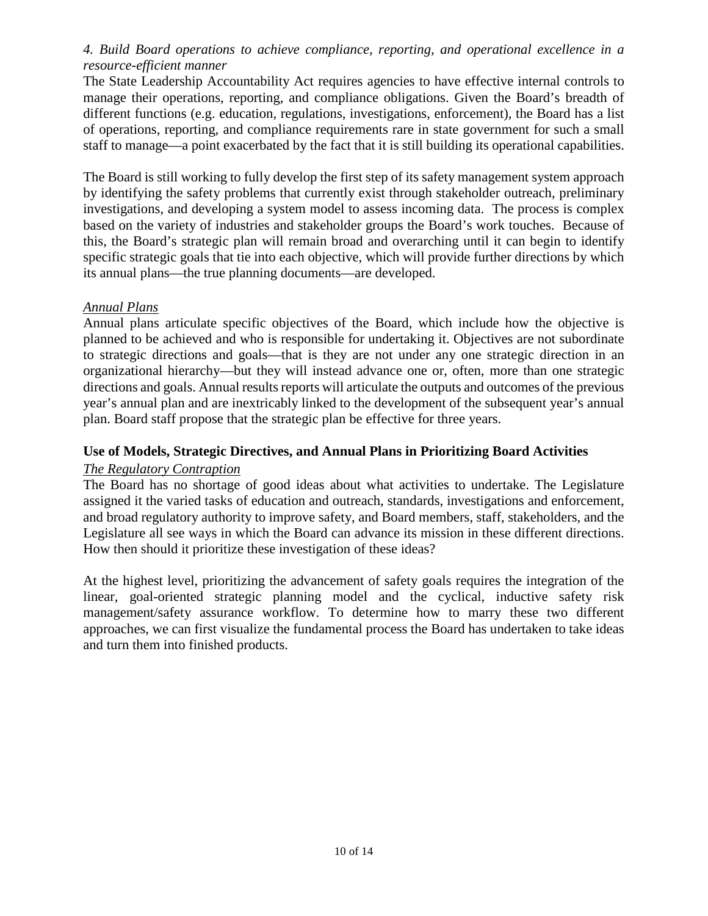## *4. Build Board operations to achieve compliance, reporting, and operational excellence in a resource-efficient manner*

 The State Leadership Accountability Act requires agencies to have effective internal controls to manage their operations, reporting, and compliance obligations. Given the Board's breadth of different functions (e.g. education, regulations, investigations, enforcement), the Board has a list of operations, reporting, and compliance requirements rare in state government for such a small staff to manage—a point exacerbated by the fact that it is still building its operational capabilities.

 specific strategic goals that tie into each objective, which will provide further directions by which The Board is still working to fully develop the first step of its safety management system approach by identifying the safety problems that currently exist through stakeholder outreach, preliminary investigations, and developing a system model to assess incoming data. The process is complex based on the variety of industries and stakeholder groups the Board's work touches. Because of this, the Board's strategic plan will remain broad and overarching until it can begin to identify its annual plans—the true planning documents—are developed.

### <span id="page-9-0"></span>*Annual Plans*

 Annual plans articulate specific objectives of the Board, which include how the objective is planned to be achieved and who is responsible for undertaking it. Objectives are not subordinate plan. Board staff propose that the strategic plan be effective for three years. to strategic directions and goals—that is they are not under any one strategic direction in an organizational hierarchy—but they will instead advance one or, often, more than one strategic directions and goals. Annual results reports will articulate the outputs and outcomes of the previous year's annual plan and are inextricably linked to the development of the subsequent year's annual

## <span id="page-9-1"></span>**Use of Models, Strategic Directives, and Annual Plans in Prioritizing Board Activities**

#### <span id="page-9-2"></span>*The Regulatory Contraption*

 The Board has no shortage of good ideas about what activities to undertake. The Legislature Legislature all see ways in which the Board can advance its mission in these different directions. assigned it the varied tasks of education and outreach, standards, investigations and enforcement, and broad regulatory authority to improve safety, and Board members, staff, stakeholders, and the How then should it prioritize these investigation of these ideas?

At the highest level, prioritizing the advancement of safety goals requires the integration of the linear, goal-oriented strategic planning model and the cyclical, inductive safety risk management/safety assurance workflow. To determine how to marry these two different approaches, we can first visualize the fundamental process the Board has undertaken to take ideas and turn them into finished products.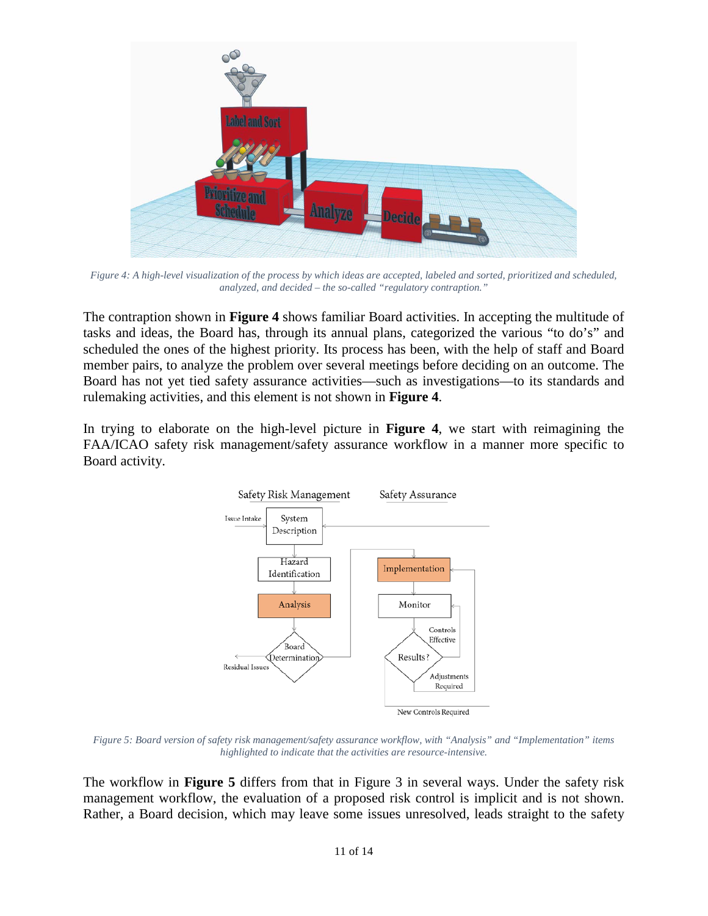

*Figure 4: A high-level visualization of the process by which ideas are accepted, labeled and sorted, prioritized and scheduled, analyzed, and decided – the so-called "regulatory contraption."* 

 The contraption shown in **Figure 4** shows familiar Board activities. In accepting the multitude of tasks and ideas, the Board has, through its annual plans, categorized the various "to do's" and scheduled the ones of the highest priority. Its process has been, with the help of staff and Board member pairs, to analyze the problem over several meetings before deciding on an outcome. The Board has not yet tied safety assurance activities—such as investigations—to its standards and rulemaking activities, and this element is not shown in **Figure 4**.

In trying to elaborate on the high-level picture in **Figure 4**, we start with reimagining the FAA/ICAO safety risk management/safety assurance workflow in a manner more specific to Board activity.



*Figure 5: Board version of safety risk management/safety assurance workflow, with "Analysis" and "Implementation" items highlighted to indicate that the activities are resource-intensive.* 

The workflow in **Figure 5** differs from that in Figure 3 in several ways. Under the safety risk management workflow, the evaluation of a proposed risk control is implicit and is not shown. Rather, a Board decision, which may leave some issues unresolved, leads straight to the safety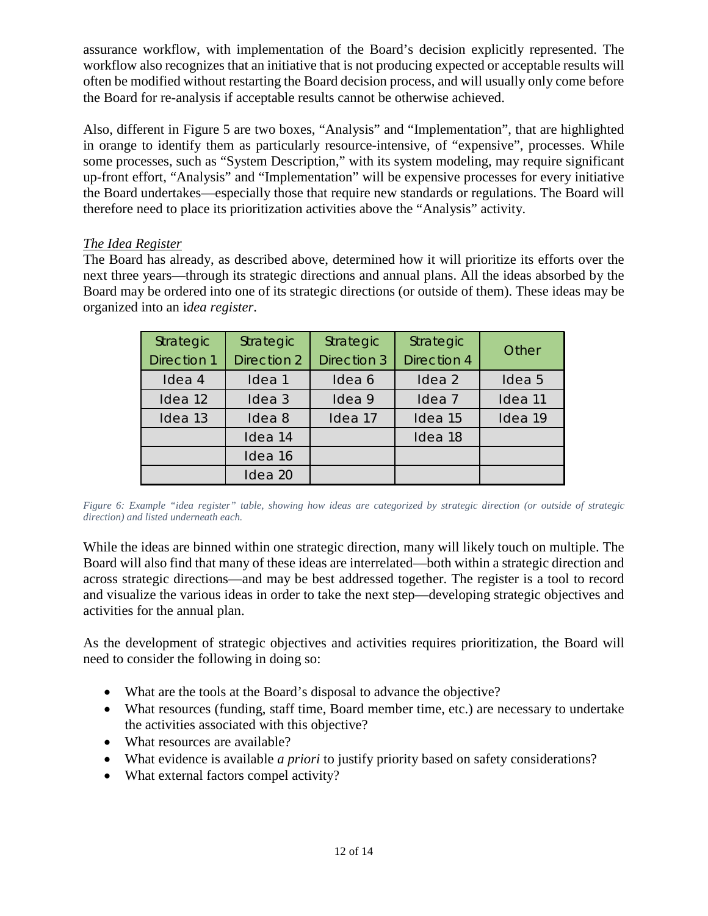assurance workflow, with implementation of the Board's decision explicitly represented. The workflow also recognizes that an initiative that is not producing expected or acceptable results will often be modified without restarting the Board decision process, and will usually only come before the Board for re-analysis if acceptable results cannot be otherwise achieved.

 the Board undertakes—especially those that require new standards or regulations. The Board will Also, different in Figure 5 are two boxes, "Analysis" and "Implementation", that are highlighted in orange to identify them as particularly resource-intensive, of "expensive", processes. While some processes, such as "System Description," with its system modeling, may require significant up-front effort, "Analysis" and "Implementation" will be expensive processes for every initiative therefore need to place its prioritization activities above the "Analysis" activity.

## <span id="page-11-0"></span>*The Idea Register*

The Board has already, as described above, determined how it will prioritize its efforts over the next three years—through its strategic directions and annual plans. All the ideas absorbed by the Board may be ordered into one of its strategic directions (or outside of them). These ideas may be organized into an i*dea register*.

| Strategic<br><b>Direction 1</b> | Strategic<br>Direction 2 | Strategic<br>Direction 3 | Strategic<br><b>Direction 4</b> | Other   |
|---------------------------------|--------------------------|--------------------------|---------------------------------|---------|
| Idea 4                          | Idea 1                   | Idea 6                   | Idea 2                          | Idea 5  |
| Idea 12                         | Idea <sub>3</sub>        | Idea 9                   | Idea <sub>7</sub>               | Idea 11 |
| Idea 13                         | Idea <sub>8</sub>        | Idea 17                  | Idea 15                         | Idea 19 |
|                                 | Idea 14                  |                          | Idea 18                         |         |
|                                 | Idea 16                  |                          |                                 |         |
|                                 | Idea 20                  |                          |                                 |         |

 *Figure 6: Example "idea register" table, showing how ideas are categorized by strategic direction (or outside of strategic direction) and listed underneath each.* 

 and visualize the various ideas in order to take the next step—developing strategic objectives and While the ideas are binned within one strategic direction, many will likely touch on multiple. The Board will also find that many of these ideas are interrelated—both within a strategic direction and across strategic directions—and may be best addressed together. The register is a tool to record activities for the annual plan.

As the development of strategic objectives and activities requires prioritization, the Board will need to consider the following in doing so:

- What are the tools at the Board's disposal to advance the objective?
- What resources (funding, staff time, Board member time, etc.) are necessary to undertake the activities associated with this objective?
- What resources are available?
- What evidence is available *a priori* to justify priority based on safety considerations?
- What external factors compel activity?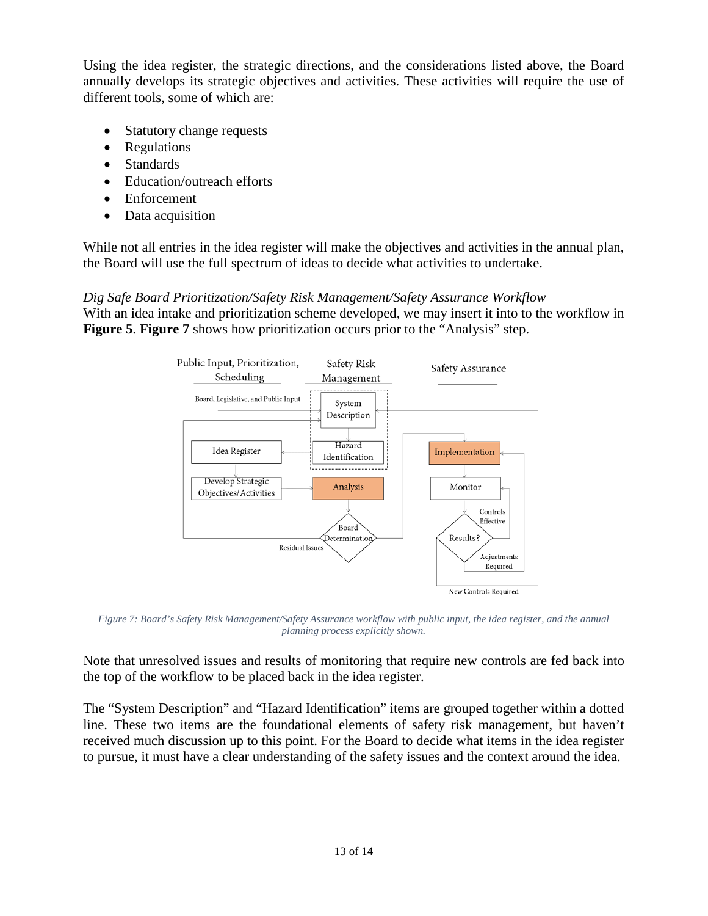different tools, some of which are: Using the idea register, the strategic directions, and the considerations listed above, the Board annually develops its strategic objectives and activities. These activities will require the use of

- Statutory change requests
- Regulations
- Standards
- Education/outreach efforts
- Enforcement
- Data acquisition

While not all entries in the idea register will make the objectives and activities in the annual plan, the Board will use the full spectrum of ideas to decide what activities to undertake.

## <span id="page-12-0"></span> *Dig Safe Board Prioritization/Safety Risk Management/Safety Assurance Workflow*

With an idea intake and prioritization scheme developed, we may insert it into to the workflow in **Figure 5**. **Figure 7** shows how prioritization occurs prior to the "Analysis" step.



 *Figure 7: Board's Safety Risk Management/Safety Assurance workflow with public input, the idea register, and the annual planning process explicitly shown.* 

Note that unresolved issues and results of monitoring that require new controls are fed back into the top of the workflow to be placed back in the idea register.

 The "System Description" and "Hazard Identification" items are grouped together within a dotted line. These two items are the foundational elements of safety risk management, but haven't received much discussion up to this point. For the Board to decide what items in the idea register to pursue, it must have a clear understanding of the safety issues and the context around the idea.